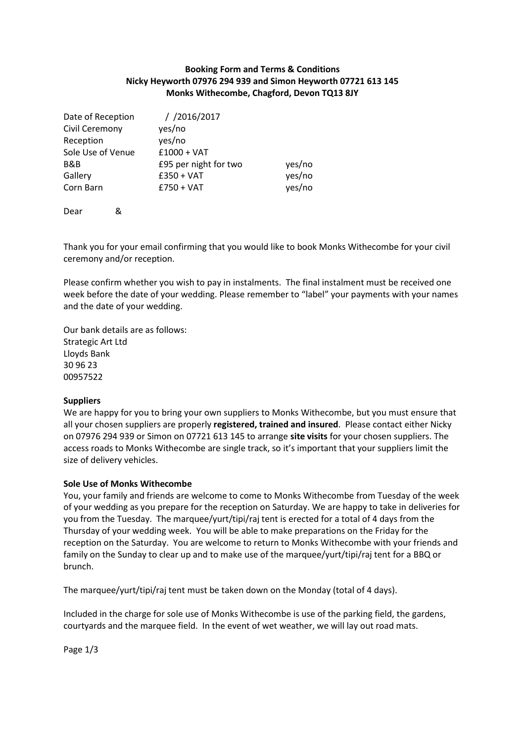## **Booking Form and Terms & Conditions Nicky Heyworth 07976 294 939 and Simon Heyworth 07721 613 145 Monks Withecombe, Chagford, Devon TQ13 8JY**

| Date of Reception | $/$ /2016/2017        |        |
|-------------------|-----------------------|--------|
| Civil Ceremony    | yes/no                |        |
| Reception         | yes/no                |        |
| Sole Use of Venue | $£1000 + VAT$         |        |
| B&B               | £95 per night for two | yes/no |
| Gallery           | $£350 + VAT$          | yes/no |
| Corn Barn         | $£750 + VAT$          | yes/no |
|                   |                       |        |

Dear &

Thank you for your email confirming that you would like to book Monks Withecombe for your civil ceremony and/or reception.

Please confirm whether you wish to pay in instalments. The final instalment must be received one week before the date of your wedding. Please remember to "label" your payments with your names and the date of your wedding.

Our bank details are as follows: Strategic Art Ltd Lloyds Bank 30 96 23 00957522

### **Suppliers**

We are happy for you to bring your own suppliers to Monks Withecombe, but you must ensure that all your chosen suppliers are properly **registered, trained and insured**. Please contact either Nicky on 07976 294 939 or Simon on 07721 613 145 to arrange **site visits** for your chosen suppliers. The access roads to Monks Withecombe are single track, so it's important that your suppliers limit the size of delivery vehicles.

### **Sole Use of Monks Withecombe**

You, your family and friends are welcome to come to Monks Withecombe from Tuesday of the week of your wedding as you prepare for the reception on Saturday. We are happy to take in deliveries for you from the Tuesday. The marquee/yurt/tipi/raj tent is erected for a total of 4 days from the Thursday of your wedding week. You will be able to make preparations on the Friday for the reception on the Saturday. You are welcome to return to Monks Withecombe with your friends and family on the Sunday to clear up and to make use of the marquee/yurt/tipi/raj tent for a BBQ or brunch.

The marquee/yurt/tipi/raj tent must be taken down on the Monday (total of 4 days).

Included in the charge for sole use of Monks Withecombe is use of the parking field, the gardens, courtyards and the marquee field. In the event of wet weather, we will lay out road mats.

Page 1/3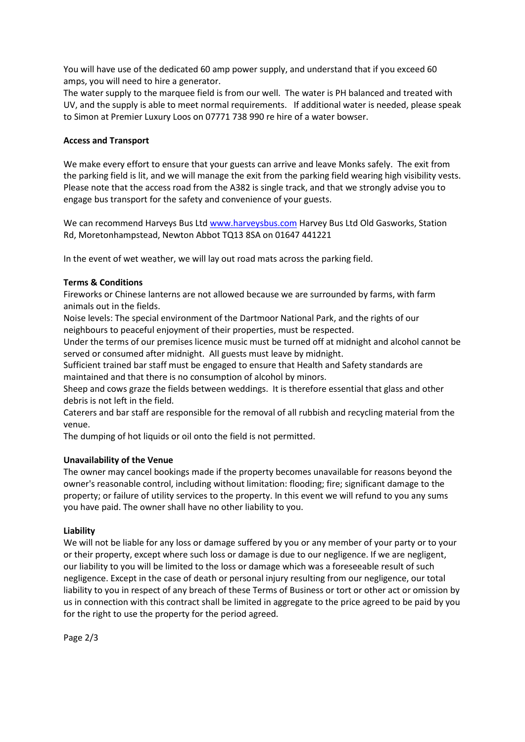You will have use of the dedicated 60 amp power supply, and understand that if you exceed 60 amps, you will need to hire a generator.

The water supply to the marquee field is from our well. The water is PH balanced and treated with UV, and the supply is able to meet normal requirements. If additional water is needed, please speak to Simon at Premier Luxury Loos on 07771 738 990 re hire of a water bowser.

### **Access and Transport**

We make every effort to ensure that your guests can arrive and leave Monks safely. The exit from the parking field is lit, and we will manage the exit from the parking field wearing high visibility vests. Please note that the access road from the A382 is single track, and that we strongly advise you to engage bus transport for the safety and convenience of your guests.

We can recommend Harveys Bus Ltd [www.harveysbus.com](http://www.harveysbus.com/) Harvey Bus Ltd Old Gasworks, Station Rd, Moretonhampstead, Newton Abbot TQ13 8SA on 01647 441221

In the event of wet weather, we will lay out road mats across the parking field.

### **Terms & Conditions**

Fireworks or Chinese lanterns are not allowed because we are surrounded by farms, with farm animals out in the fields.

Noise levels: The special environment of the Dartmoor National Park, and the rights of our neighbours to peaceful enjoyment of their properties, must be respected.

Under the terms of our premises licence music must be turned off at midnight and alcohol cannot be served or consumed after midnight. All guests must leave by midnight.

Sufficient trained bar staff must be engaged to ensure that Health and Safety standards are maintained and that there is no consumption of alcohol by minors.

Sheep and cows graze the fields between weddings. It is therefore essential that glass and other debris is not left in the field.

Caterers and bar staff are responsible for the removal of all rubbish and recycling material from the venue.

The dumping of hot liquids or oil onto the field is not permitted.

# **Unavailability of the Venue**

The owner may cancel bookings made if the property becomes unavailable for reasons beyond the owner's reasonable control, including without limitation: flooding; fire; significant damage to the property; or failure of utility services to the property. In this event we will refund to you any sums you have paid. The owner shall have no other liability to you.

### **Liability**

We will not be liable for any loss or damage suffered by you or any member of your party or to your or their property, except where such loss or damage is due to our negligence. If we are negligent, our liability to you will be limited to the loss or damage which was a foreseeable result of such negligence. Except in the case of death or personal injury resulting from our negligence, our total liability to you in respect of any breach of these Terms of Business or tort or other act or omission by us in connection with this contract shall be limited in aggregate to the price agreed to be paid by you for the right to use the property for the period agreed.

Page 2/3